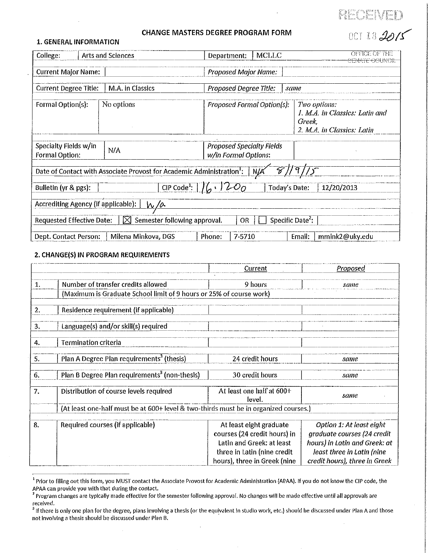# RECEIVEI

001 182015

### **CHANGE MASTERS DEGREE PROGRAM FORM**

#### **1. GENERAL INFORMATION**

| College:                                |  | Arts and Sciences                                                                             | Department:          |                             | MCLLC                            | <b>OFFICE OF THE</b><br><del>SEMATE COUNCIL</del>                                      |
|-----------------------------------------|--|-----------------------------------------------------------------------------------------------|----------------------|-----------------------------|----------------------------------|----------------------------------------------------------------------------------------|
| <b>Current Major Name:</b>              |  |                                                                                               |                      | <b>Proposed Major Name:</b> |                                  |                                                                                        |
| <b>Current Degree Title:</b>            |  | M.A. in Classics                                                                              |                      |                             | Proposed Degree Title:           | same                                                                                   |
| Formal Option(s):                       |  | No options                                                                                    |                      |                             | Proposed Formal Option(s):       | Two options:<br>1. M.A. in Classics: Latin and<br>Greek,<br>2. M.A. in Classics: Latin |
| Specialty Fields w/in<br>Formal Option: |  | N/A                                                                                           | w/in Formal Options: |                             | <b>Proposed Specialty Fields</b> |                                                                                        |
|                                         |  | Date of Contact with Associate Provost for Academic Administration <sup>1</sup> : N/A 8/19/15 |                      |                             |                                  |                                                                                        |
| Bulletin (yr & pgs):                    |  | CIP Code <sup>1</sup> : $16.1200$                                                             |                      |                             | Today's Date:                    | 12/20/2013                                                                             |
| Accrediting Agency (if applicable):     |  | <u>W/a</u>                                                                                    |                      |                             |                                  |                                                                                        |
| <b>Requested Effective Date:</b>        |  | $\boxtimes$ Semester following approval.                                                      |                      | <b>OR</b>                   |                                  | Specific Date <sup>2</sup> :                                                           |
| Dept. Contact Person:                   |  | Milena Minkova, DGS                                                                           | Phone:               | 7-5710                      |                                  | mmink2@uky.edu<br>Email:                                                               |

### 2. CHANGE(S) IN PROGRAM REQUIREMENTS

|    |                                                                                      | Current                             | Proposed                      |
|----|--------------------------------------------------------------------------------------|-------------------------------------|-------------------------------|
|    |                                                                                      |                                     |                               |
| 1. | Number of transfer credits allowed                                                   | 9 hours                             | same                          |
|    | (Maximum is Graduate School limit of 9 hours or 25% of course work)                  |                                     |                               |
|    |                                                                                      |                                     |                               |
| 2. | Residence requirement (if applicable)                                                |                                     |                               |
| 3. | Language(s) and/or skill(s) required                                                 |                                     |                               |
| 4. | <b>Termination criteria</b>                                                          |                                     |                               |
| 5. | Plan A Degree Plan requirements <sup>3</sup> (thesis)                                | 24 credit hours                     | same                          |
| 6. | Plan B Degree Plan requirements <sup>3</sup> (non-thesis)                            | 30 credit hours                     | same                          |
| 7. | Distribution of course levels required                                               | At least one half at 600+<br>level. | same                          |
|    | (At least one-half must be at 600+ level & two-thirds must be in organized courses.) |                                     |                               |
|    |                                                                                      |                                     |                               |
| 8. | Required courses (if applicable)                                                     | At least eight graduate             | Option 1: At least eight      |
|    |                                                                                      | courses (24 credit hours) in        | graduate courses (24 credit   |
|    |                                                                                      | Latin and Greek: at least           | hours) in Latin and Greek: at |
|    |                                                                                      | three in Latin (nine credit         | least three in Latin (nine    |
|    |                                                                                      | hours), three in Greek (nine        | credit hours), three in Greek |

<sup>&</sup>lt;sup>1</sup> Prior to filling out this form, you MUST contact the Associate Provost for Academic Administration (APAA). If you do not know the CIP code, the APAA can provide you with that during the contact.

<sup>&</sup>lt;sup>2</sup> Program changes are typically made effective for the semester following approval. No changes will be made effective until all approvals are received.

<sup>&</sup>lt;sup>3</sup> If there is only one plan for the degree, plans involving a thesis (or the equivalent in studio work, etc.) should be discussed under Plan A and those not involving a thesis should be discussed under Plan B.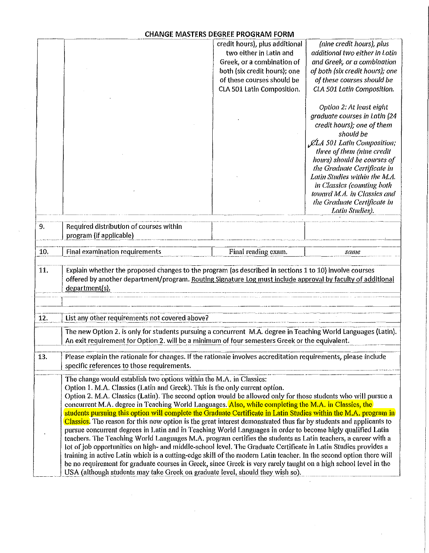# **CHANGE MASTERS DEGREE PROGRAM FORM**

|     |                                                                                                                                                                                                                                                                                                                                                                                                                                                                                                                                                                                                                                                                                                                                                                                                                                                                                                                                                                          | credit hours), plus additional | (nine credit hours), plus         |
|-----|--------------------------------------------------------------------------------------------------------------------------------------------------------------------------------------------------------------------------------------------------------------------------------------------------------------------------------------------------------------------------------------------------------------------------------------------------------------------------------------------------------------------------------------------------------------------------------------------------------------------------------------------------------------------------------------------------------------------------------------------------------------------------------------------------------------------------------------------------------------------------------------------------------------------------------------------------------------------------|--------------------------------|-----------------------------------|
|     |                                                                                                                                                                                                                                                                                                                                                                                                                                                                                                                                                                                                                                                                                                                                                                                                                                                                                                                                                                          | two either in Latin and        | additional two either in Latin    |
|     |                                                                                                                                                                                                                                                                                                                                                                                                                                                                                                                                                                                                                                                                                                                                                                                                                                                                                                                                                                          | Greek, or a combination of     | and Greek, or a combination       |
|     |                                                                                                                                                                                                                                                                                                                                                                                                                                                                                                                                                                                                                                                                                                                                                                                                                                                                                                                                                                          | both (six credit hours); one   | of both (six credit hours); one   |
|     |                                                                                                                                                                                                                                                                                                                                                                                                                                                                                                                                                                                                                                                                                                                                                                                                                                                                                                                                                                          | of these courses should be     | of these courses should be        |
|     |                                                                                                                                                                                                                                                                                                                                                                                                                                                                                                                                                                                                                                                                                                                                                                                                                                                                                                                                                                          | CLA 501 Latin Composition.     | CLA 501 Latin Composition.        |
|     |                                                                                                                                                                                                                                                                                                                                                                                                                                                                                                                                                                                                                                                                                                                                                                                                                                                                                                                                                                          |                                |                                   |
|     |                                                                                                                                                                                                                                                                                                                                                                                                                                                                                                                                                                                                                                                                                                                                                                                                                                                                                                                                                                          |                                | Option 2: At least eight          |
|     |                                                                                                                                                                                                                                                                                                                                                                                                                                                                                                                                                                                                                                                                                                                                                                                                                                                                                                                                                                          |                                | graduate courses in Latin (24     |
|     |                                                                                                                                                                                                                                                                                                                                                                                                                                                                                                                                                                                                                                                                                                                                                                                                                                                                                                                                                                          |                                | credit hours); one of them        |
|     |                                                                                                                                                                                                                                                                                                                                                                                                                                                                                                                                                                                                                                                                                                                                                                                                                                                                                                                                                                          |                                | should be                         |
|     |                                                                                                                                                                                                                                                                                                                                                                                                                                                                                                                                                                                                                                                                                                                                                                                                                                                                                                                                                                          |                                | <b>CLA 501 Latin Composition;</b> |
|     |                                                                                                                                                                                                                                                                                                                                                                                                                                                                                                                                                                                                                                                                                                                                                                                                                                                                                                                                                                          |                                | three of them (nine credit        |
|     |                                                                                                                                                                                                                                                                                                                                                                                                                                                                                                                                                                                                                                                                                                                                                                                                                                                                                                                                                                          |                                | hours) should be courses of       |
|     |                                                                                                                                                                                                                                                                                                                                                                                                                                                                                                                                                                                                                                                                                                                                                                                                                                                                                                                                                                          |                                | the Graduate Certificate in       |
|     |                                                                                                                                                                                                                                                                                                                                                                                                                                                                                                                                                                                                                                                                                                                                                                                                                                                                                                                                                                          |                                | Latin Studies within the M.A.     |
|     |                                                                                                                                                                                                                                                                                                                                                                                                                                                                                                                                                                                                                                                                                                                                                                                                                                                                                                                                                                          |                                | in Classics (counting both        |
|     |                                                                                                                                                                                                                                                                                                                                                                                                                                                                                                                                                                                                                                                                                                                                                                                                                                                                                                                                                                          |                                | toward M.A. in Classics and       |
|     |                                                                                                                                                                                                                                                                                                                                                                                                                                                                                                                                                                                                                                                                                                                                                                                                                                                                                                                                                                          |                                | the Graduate Certificate in       |
|     |                                                                                                                                                                                                                                                                                                                                                                                                                                                                                                                                                                                                                                                                                                                                                                                                                                                                                                                                                                          |                                | Latin Studies).                   |
|     |                                                                                                                                                                                                                                                                                                                                                                                                                                                                                                                                                                                                                                                                                                                                                                                                                                                                                                                                                                          |                                |                                   |
| 9.  | Required distribution of courses within                                                                                                                                                                                                                                                                                                                                                                                                                                                                                                                                                                                                                                                                                                                                                                                                                                                                                                                                  |                                |                                   |
|     | program (if applicable)                                                                                                                                                                                                                                                                                                                                                                                                                                                                                                                                                                                                                                                                                                                                                                                                                                                                                                                                                  |                                |                                   |
| 10. | <b>Final examination requirements</b>                                                                                                                                                                                                                                                                                                                                                                                                                                                                                                                                                                                                                                                                                                                                                                                                                                                                                                                                    | Final reading exam.            | same                              |
| 11. | Explain whether the proposed changes to the program (as described in sections 1 to 10) involve courses<br>offered by another department/program. Routing Signature Log must include approval by faculty of additional<br>department(s).                                                                                                                                                                                                                                                                                                                                                                                                                                                                                                                                                                                                                                                                                                                                  |                                |                                   |
| 12. | List any other requirements not covered above?                                                                                                                                                                                                                                                                                                                                                                                                                                                                                                                                                                                                                                                                                                                                                                                                                                                                                                                           |                                |                                   |
|     | The new Option 2. is only for students pursuing a concurrent M.A. degree in Teaching World Languages (Latin).<br>An exit requirement for Option 2. will be a minimum of four semesters Greek or the equivalent.                                                                                                                                                                                                                                                                                                                                                                                                                                                                                                                                                                                                                                                                                                                                                          |                                |                                   |
| 13. | Please explain the rationale for changes. If the rationale involves accreditation requirements, please include<br>specific references to those requirements.                                                                                                                                                                                                                                                                                                                                                                                                                                                                                                                                                                                                                                                                                                                                                                                                             |                                |                                   |
|     | The change would establish two options within the M.A. in Classics:<br>Option 1. M.A. Classics (Latin and Greek). This is the only current option.<br>Option 2. M.A. Classics (Latin). The second option would be allowed only for those students who will pursue a<br>concurrent M.A. degree in Teaching World Languages. Also, while completing the M.A. in Classics, the<br>students pursuing this option will complete the Graduate Certificate in Latin Studies within the M.A. program in<br>Classics. The reason for this new option is the great interest demonstrated thus far by students and applicants to<br>pursue concurrent degrees in Latin and in Teaching World Languages in order to become higly qualified Latin<br>teachers. The Teaching World Languages M.A. program certifies the students as Latin teachers, a career with a<br>lot of job opportunities on high- and middle-school level. The Graduate Certificate in Latin Studies provides a |                                |                                   |
|     | training in active Latin which is a cutting-edge skill of the modern Latin teacher. In the second option there will<br>be no requirement for graduate courses in Greek, since Greek is very rarely taught on a high school level in the<br>USA (although students may take Greek on graduate level, should they wish so).                                                                                                                                                                                                                                                                                                                                                                                                                                                                                                                                                                                                                                                |                                |                                   |

J.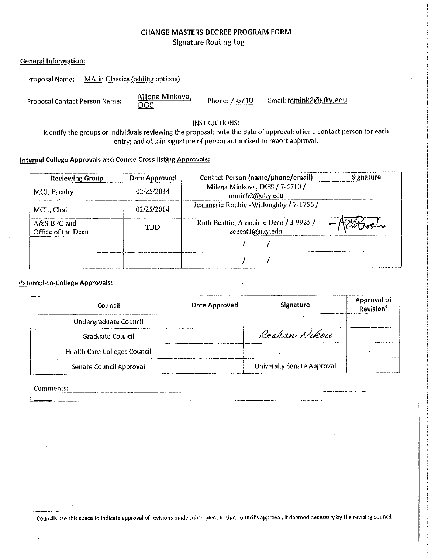# **CHANGE MASTERS DEGREE PROGRAM FORM Signature Routing Log**

| <b>General Information:</b> |
|-----------------------------|
|                             |

| Proposal Name: | MA in Classics (adding options) |
|----------------|---------------------------------|
|----------------|---------------------------------|

**Proposal Contact Person Name:** 

Milena Minkova, **DGS** 

Phone: 7-5710

Email: mmink2@uky.edu

**INSTRUCTIONS:** 

Identify the groups or individuals reviewing the proposal; note the date of approval; offer a contact person for each entry; and obtain signature of person authorized to report approval.

### **Internal College Approvals and Course Cross-listing Approvals:**

| <b>Reviewing Group</b>              | Date Approved | <b>Contact Person (name/phone/email)</b>                   | Signature |
|-------------------------------------|---------------|------------------------------------------------------------|-----------|
| <b>MCL Faculty</b>                  | 02/25/2014    | Milena Minkova, DGS / 7-5710 /<br>mmink2@uky.edu           |           |
| MCL Chair                           | 02/25/2014    | Jeanmarie Rouhier-Willoughby / 7-1756 /                    |           |
| $A&S$ EPC and<br>Office of the Dean | TRD           | Ruth Beattie, Associate Dean / 3-9925 /<br>rebeat1@uky.edu |           |
|                                     |               |                                                            |           |
|                                     |               |                                                            |           |

### **External-to-College Approvals:**

| Council                             | Date Approved | Signature                         | <b>Approval of</b> |
|-------------------------------------|---------------|-----------------------------------|--------------------|
| Undergraduate Council               |               |                                   |                    |
| <b>Graduate Council</b>             |               | Roshan Nikou                      |                    |
| <b>Health Care Colleges Council</b> |               |                                   |                    |
| Senate Council Approval             |               | <b>University Senate Approval</b> |                    |

المستشفين

#### Comments:

<sup>4</sup> Councils use this space to indicate approval of revisions made subsequent to that council's approval, if deemed necessary by the revising council.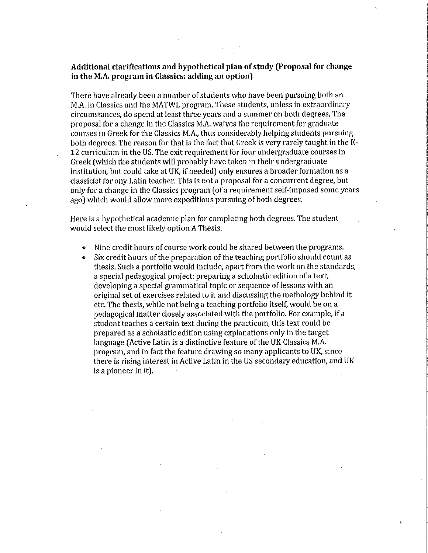# Additional clarifications and hypothetical plan of study (Proposal for change in the M.A. program in Classics: adding an option)

There have already been a number of students who have been pursuing both an M.A. in Classics and the MATWL program. These students, unless in extraordinary circumstances, do spend at least three years and a summer on both degrees. The proposal for a change in the Classics M.A. waives the requirement for graduate courses in Greek for the Classics M.A., thus considerably helping students pursuing both degrees. The reason for that is the fact that Greek is very rarely taught in the K-12 curriculum in the US. The exit requirement for four undergraduate courses in Greek (which the students will probably have taken in their undergraduate institution, but could take at UK, if needed) only ensures a broader formation as a classicist for any Latin teacher. This is not a proposal for a concurrent degree, but only for a change in the Classics program (of a requirement self-imposed some years ago) which would allow more expeditious pursuing of both degrees.

Here is a hypothetical academic plan for completing both degrees. The student would select the most likely option A Thesis.

- Nine credit hours of course work could be shared between the programs.
- Six credit hours of the preparation of the teaching portfolio should count as thesis. Such a portfolio would include, apart from the work on the standards, a special pedagogical project: preparing a scholastic edition of a text, developing a special grammatical topic or sequence of lessons with an original set of exercises related to it and discussing the methology behind it etc. The thesis, while not being a teaching portfolio itself, would be on a pedagogical matter closely associated with the portfolio. For example, if a student teaches a certain text during the practicum, this text could be prepared as a scholastic edition using explanations only in the target language (Active Latin is a distinctive feature of the UK Classics M.A. program, and in fact the feature drawing so many applicants to UK, since there is rising interest in Active Latin in the US secondary education, and UK is a pioneer in it).